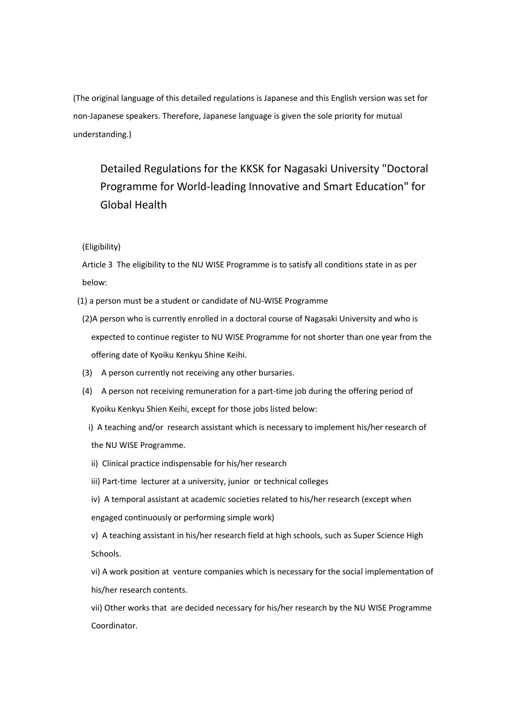(The original language of this detailed regulations is Japanese and this English version was set for non-Japanese speakers. Therefore, Japanese language is given the sole priority for mutual understanding.)

Detailed Regulations for the KKSK for Nagasaki University "Doctoral Programme for World-leading Innovative and Smart Education" for Global Health

(Eligibility)

Article 3 The eligibility to the NU WISE Programme is to satisfy all conditions state in as per below:

(1) a person must be a student or candidate of NU-WISE Programme

- (2)A person who is currently enrolled in a doctoral course of Nagasaki University and who is expected to continue register to NU WISE Programme for not shorter than one year from the offering date of Kyoiku Kenkyu Shine Keihi.
- (3) A person currently not receiving any other bursaries.
- (4) A person not receiving remuneration for a part-time job during the offering period of Kyoiku Kenkyu Shien Keihi, except for those jobs listed below:
	- i) A teaching and/or research assistant which is necessary to implement his/her research of the NU WISE Programme.
	- ii) Clinical practice indispensable for his/her research
	- iii) Part-time lecturer at a university, junior or technical colleges
	- iv) A temporal assistant at academic societies related to his/her research (except when engaged continuously or performing simple work)

v) A teaching assistant in his/her research field at high schools, such as Super Science High Schools.

vi) A work position at venture companies which is necessary for the social implementation of his/her research contents.

vii) Other works that are decided necessary for his/her research by the NU WISE Programme Coordinator.